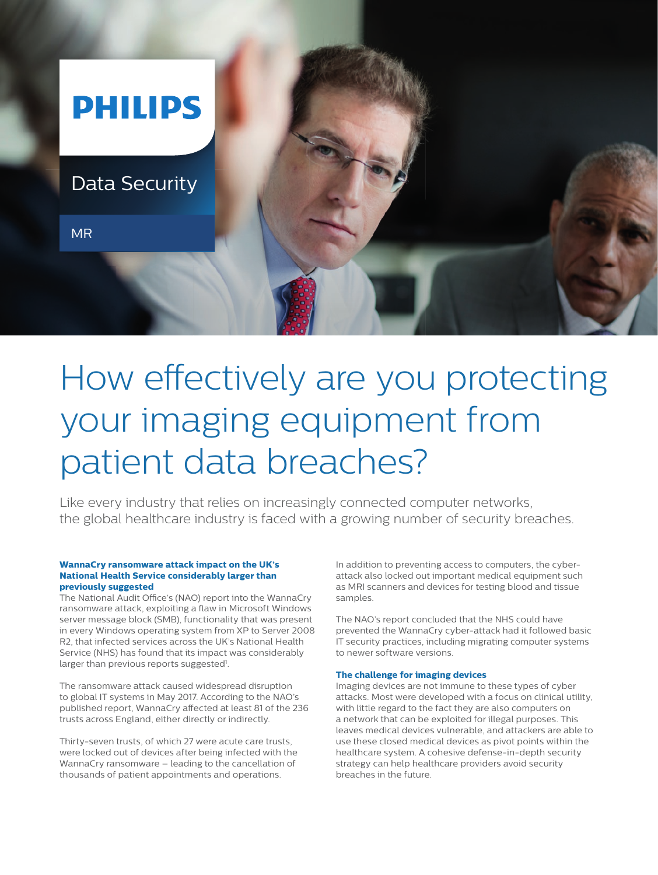

# How effectively are you protecting your imaging equipment from patient data breaches?

Like every industry that relies on increasingly connected computer networks, the global healthcare industry is faced with a growing number of security breaches.

#### **WannaCry ransomware attack impact on the UK's National Health Service considerably larger than previously suggested**

The National Audit Office's (NAO) report into the WannaCry ransomware attack, exploiting a flaw in Microsoft Windows server message block (SMB), functionality that was present in every Windows operating system from XP to Server 2008 R2, that infected services across the UK's National Health Service (NHS) has found that its impact was considerably larger than previous reports suggested<sup>1</sup>.

The ransomware attack caused widespread disruption to global IT systems in May 2017. According to the NAO's published report, WannaCry affected at least 81 of the 236 trusts across England, either directly or indirectly.

Thirty-seven trusts, of which 27 were acute care trusts, were locked out of devices after being infected with the WannaCry ransomware – leading to the cancellation of thousands of patient appointments and operations.

In addition to preventing access to computers, the cyberattack also locked out important medical equipment such as MRI scanners and devices for testing blood and tissue samples.

The NAO's report concluded that the NHS could have prevented the WannaCry cyber-attack had it followed basic IT security practices, including migrating computer systems to newer software versions.

#### **The challenge for imaging devices**

Imaging devices are not immune to these types of cyber attacks. Most were developed with a focus on clinical utility, with little regard to the fact they are also computers on a network that can be exploited for illegal purposes. This leaves medical devices vulnerable, and attackers are able to use these closed medical devices as pivot points within the healthcare system. A cohesive defense-in-depth security strategy can help healthcare providers avoid security breaches in the future.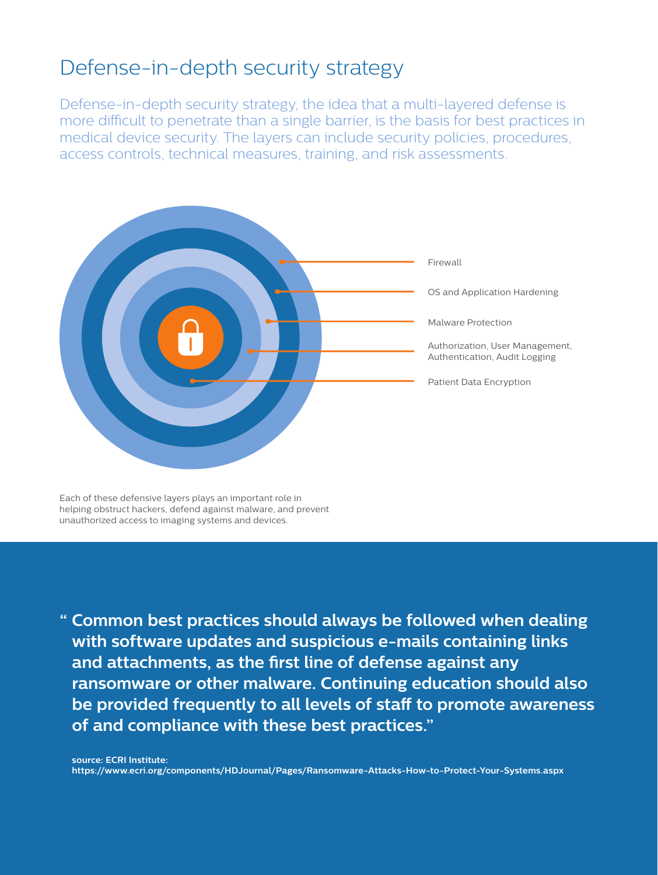# Defense-in-depth security strategy

Defense-in-depth security strategy, the idea that a multi-layered defense is more difficult to penetrate than a single barrier, is the basis for best practices in medical device security. The layers can include security policies, procedures, access controls, technical measures, training, and risk assessments.



Each of these defensive layers plays an important role in helping obstruct hackers, defend against malware, and prevent unauthorized access to imaging systems and devices.

**" Common best practices should always be followed when dealing with software updates and suspicious e-mails containing links and attachments, as the first line of defense against any ransomware or other malware. Continuing education should also be provided frequently to all levels of staff to promote awareness of and compliance with these best practices."**

**source: ECRI Institute: https://www.ecri.org/components/HDJournal/Pages/Ransomware-Attacks-How-to-Protect-Your-Systems.aspx**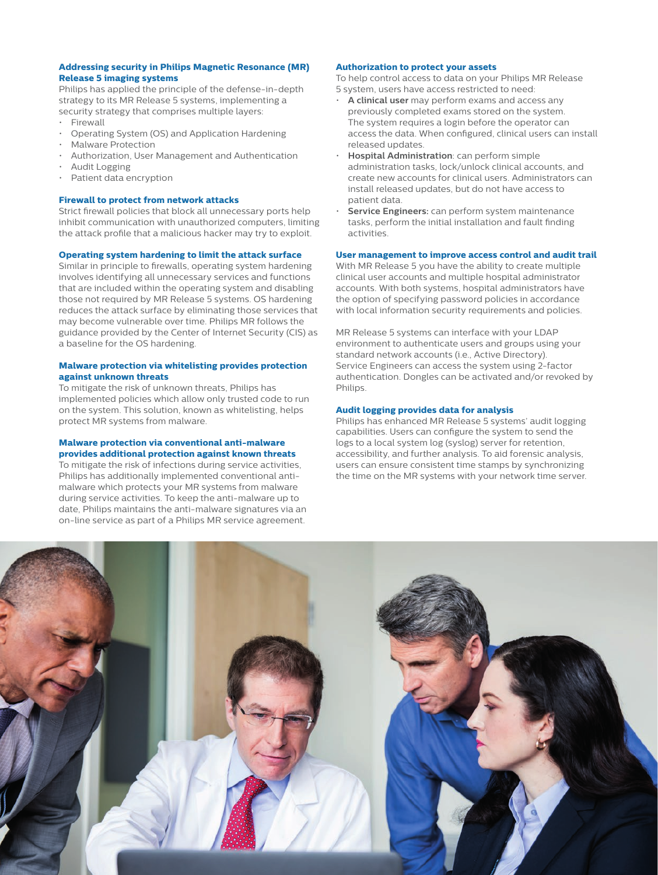#### **Addressing security in Philips Magnetic Resonance (MR) Release 5 imaging systems**

Philips has applied the principle of the defense-in-depth strategy to its MR Release 5 systems, implementing a security strategy that comprises multiple layers:

- **Firewall**
- Operating System (OS) and Application Hardening
- Malware Protection
- Authorization, User Management and Authentication
- Audit Logging
- Patient data encryption

#### **Firewall to protect from network attacks**

Strict firewall policies that block all unnecessary ports help inhibit communication with unauthorized computers, limiting the attack profile that a malicious hacker may try to exploit.

#### **Operating system hardening to limit the attack surface**

Similar in principle to firewalls, operating system hardening involves identifying all unnecessary services and functions that are included within the operating system and disabling those not required by MR Release 5 systems. OS hardening reduces the attack surface by eliminating those services that may become vulnerable over time. Philips MR follows the guidance provided by the Center of Internet Security (CIS) as a baseline for the OS hardening.

#### **Malware protection via whitelisting provides protection against unknown threats**

To mitigate the risk of unknown threats, Philips has implemented policies which allow only trusted code to run on the system. This solution, known as whitelisting, helps protect MR systems from malware.

### **Malware protection via conventional anti-malware provides additional protection against known threats**

To mitigate the risk of infections during service activities, Philips has additionally implemented conventional antimalware which protects your MR systems from malware during service activities. To keep the anti-malware up to date, Philips maintains the anti-malware signatures via an on-line service as part of a Philips MR service agreement.

#### **Authorization to protect your assets**

To help control access to data on your Philips MR Release 5 system, users have access restricted to need:

- **A clinical user** may perform exams and access any previously completed exams stored on the system. The system requires a login before the operator can access the data. When configured, clinical users can install released updates.
- **Hospital Administration**: can perform simple administration tasks, lock/unlock clinical accounts, and create new accounts for clinical users. Administrators can install released updates, but do not have access to patient data.
- **Service Engineers:** can perform system maintenance tasks, perform the initial installation and fault finding activities.

#### **User management to improve access control and audit trail**

With MR Release 5 you have the ability to create multiple clinical user accounts and multiple hospital administrator accounts. With both systems, hospital administrators have the option of specifying password policies in accordance with local information security requirements and policies.

MR Release 5 systems can interface with your LDAP environment to authenticate users and groups using your standard network accounts (i.e., Active Directory). Service Engineers can access the system using 2-factor authentication. Dongles can be activated and/or revoked by **Philips.** 

#### **Audit logging provides data for analysis**

Philips has enhanced MR Release 5 systems' audit logging capabilities. Users can configure the system to send the logs to a local system log (syslog) server for retention, accessibility, and further analysis. To aid forensic analysis, users can ensure consistent time stamps by synchronizing the time on the MR systems with your network time server.